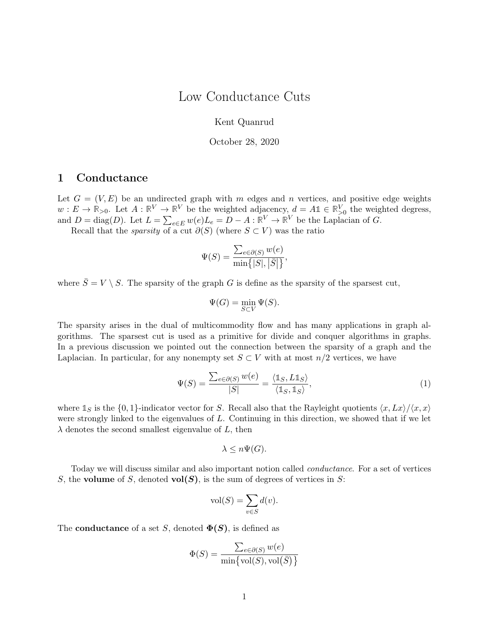## Low Conductance Cuts

Kent Quanrud

October 28, 2020

## <span id="page-0-1"></span><span id="page-0-0"></span>1 Conductance

Let  $G = (V, E)$  be an undirected graph with m edges and n vertices, and positive edge weights  $w: E \to \mathbb{R}_{>0}$ . Let  $A: \mathbb{R}^V \to \mathbb{R}^V$  be the weighted adjacency,  $d = A \mathbb{1} \in \mathbb{R}_{>0}^V$  the weighted degress, and  $D = \text{diag}(D)$ . Let  $L = \sum_{e \in E} w(e) L_e = D - A : \mathbb{R}^V \to \mathbb{R}^V$  be the Laplacian of G.

Recall that the *sparsity* of a cut  $\partial(S)$  (where  $S \subset V$ ) was the ratio

$$
\Psi(S) = \frac{\sum_{e \in \partial(S)} w(e)}{\min\{|S|, |\bar{S}|\}},
$$

where  $\overline{S} = V \setminus S$ . The sparsity of the graph G is define as the sparsity of the sparsest cut,

$$
\Psi(G) = \min_{S \subset V} \Psi(S).
$$

The sparsity arises in the dual of multicommodity flow and has many applications in graph algorithms. The sparsest cut is used as a primitive for divide and conquer algorithms in graphs. In a previous discussion we pointed out the connection between the sparsity of a graph and the Laplacian. In particular, for any nonempty set  $S \subset V$  with at most  $n/2$  vertices, we have

$$
\Psi(S) = \frac{\sum_{e \in \partial(S)} w(e)}{|S|} = \frac{\langle \mathbb{1}_S, L \mathbb{1}_S \rangle}{\langle \mathbb{1}_S, \mathbb{1}_S \rangle},\tag{1}
$$

where  $\mathbb{1}_S$  is the  $\{0, 1\}$ -indicator vector for S. Recall also that the Rayleight quotients  $\langle x, Lx \rangle / \langle x, x \rangle$ were strongly linked to the eigenvalues of  $L$ . Continuing in this direction, we showed that if we let  $\lambda$  denotes the second smallest eigenvalue of L, then

$$
\lambda \leq n\Psi(G).
$$

Today we will discuss similar and also important notion called conductance. For a set of vertices S, the volume of S, denoted vol(S), is the sum of degrees of vertices in S:

$$
\text{vol}(S) = \sum_{v \in S} d(v).
$$

The **conductance** of a set S, denoted  $\Phi(S)$ , is defined as

$$
\Phi(S) = \frac{\sum_{e \in \partial(S)} w(e)}{\min \{ \text{vol}(S), \text{vol}(\bar{S}) \}}
$$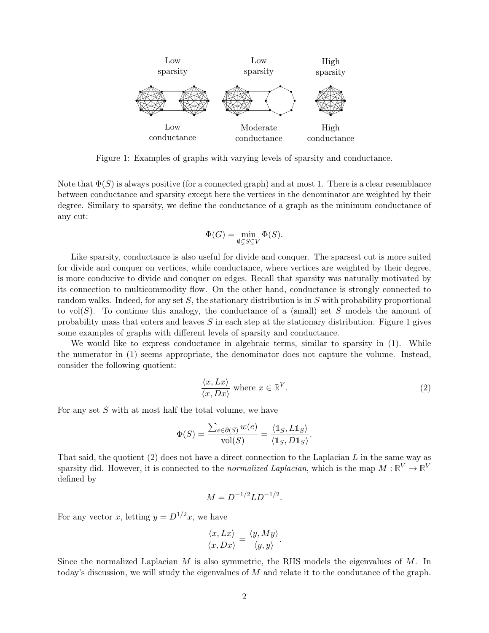

<span id="page-1-0"></span>Figure 1: Examples of graphs with varying levels of sparsity and conductance.

Note that  $\Phi(S)$  is always positive (for a connected graph) and at most 1. There is a clear resemblance between conductance and sparsity except here the vertices in the denominator are weighted by their degree. Similary to sparsity, we define the conductance of a graph as the minimum conductance of any cut:

$$
\Phi(G)=\min_{\emptyset\subsetneq S\subsetneq V}\Phi(S).
$$

Like sparsity, conductance is also useful for divide and conquer. The sparsest cut is more suited for divide and conquer on vertices, while conductance, where vertices are weighted by their degree, is more conducive to divide and conquer on edges. Recall that sparsity was naturally motivated by its connection to multicommodity flow. On the other hand, conductance is strongly connected to random walks. Indeed, for any set  $S$ , the stationary distribution is in  $S$  with probability proportional to vol(S). To continue this analogy, the conductance of a (small) set S models the amount of probability mass that enters and leaves  $S$  in each step at the stationary distribution. [Figure 1](#page-1-0) gives some examples of graphs with different levels of sparsity and conductance.

We would like to express conductance in algebraic terms, similar to sparsity in [\(1\).](#page-0-0) While the numerator in [\(1\)](#page-0-0) seems appropriate, the denominator does not capture the volume. Instead, consider the following quotient:

$$
\frac{\langle x, Lx \rangle}{\langle x, Dx \rangle} \text{ where } x \in \mathbb{R}^V. \tag{2}
$$

For any set S with at most half the total volume, we have

$$
\Phi(S) = \frac{\sum_{e \in \partial(S)} w(e)}{\text{vol}(S)} = \frac{\langle \mathbb{1}_S, L \mathbb{1}_S \rangle}{\langle \mathbb{1}_S, D \mathbb{1}_S \rangle}.
$$

That said, the quotient  $(2)$  does not have a direct connection to the Laplacian L in the same way as sparsity did. However, it is connected to the *normalized Laplacian*, which is the map  $M : \mathbb{R}^V \to \mathbb{R}^V$ defined by

$$
M = D^{-1/2} L D^{-1/2}.
$$

For any vector x, letting  $y = D^{1/2}x$ , we have

$$
\frac{\langle x, Lx \rangle}{\langle x, Dx \rangle} = \frac{\langle y, My \rangle}{\langle y, y \rangle}.
$$

Since the normalized Laplacian  $M$  is also symmetric, the RHS models the eigenvalues of  $M$ . In today's discussion, we will study the eigenvalues of M and relate it to the condutance of the graph.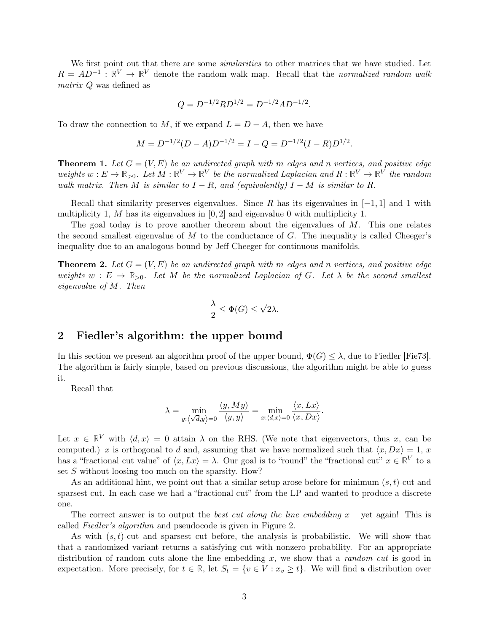We first point out that there are some *similarities* to other matrices that we have studied. Let  $R = AD^{-1}$ :  $\mathbb{R}^V \to \mathbb{R}^V$  denote the random walk map. Recall that the normalized random walk matrix Q was defined as

$$
Q = D^{-1/2} R D^{1/2} = D^{-1/2} A D^{-1/2}.
$$

To draw the connection to M, if we expand  $L = D - A$ , then we have

$$
M = D^{-1/2}(D - A)D^{-1/2} = I - Q = D^{-1/2}(I - R)D^{1/2}.
$$

**Theorem 1.** Let  $G = (V, E)$  be an undirected graph with m edges and n vertices, and positive edge weights  $w: E \to \mathbb{R}_{>0}$ . Let  $M: \mathbb{R}^V \to \mathbb{R}^V$  be the normalized Laplacian and  $R: \mathbb{R}^V \to \mathbb{R}^V$  the random walk matrix. Then M is similar to  $I - R$ , and (equivalently)  $I - M$  is similar to R.

Recall that similarity preserves eigenvalues. Since R has its eigenvalues in  $[-1, 1]$  and 1 with multiplicity 1, M has its eigenvalues in  $[0, 2]$  and eigenvalue 0 with multiplicity 1.

The goal today is to prove another theorem about the eigenvalues of  $M$ . This one relates the second smallest eigenvalue of  $M$  to the conductance of  $G$ . The inequality is called Cheeger's inequality due to an analogous bound by Jeff Cheeger for continuous manifolds.

**Theorem 2.** Let  $G = (V, E)$  be an undirected graph with m edges and n vertices, and positive edge weights  $w : E \to \mathbb{R}_{>0}$ . Let M be the normalized Laplacian of G. Let  $\lambda$  be the second smallest eigenvalue of M. Then

$$
\frac{\lambda}{2} \le \Phi(G) \le \sqrt{2\lambda}.
$$

### 2 Fiedler's algorithm: the upper bound

In this section we present an algorithm proof of the upper bound,  $\Phi(G) \leq \lambda$ , due to Fiedler [\[Fie73\]](#page-7-0). The algorithm is fairly simple, based on previous discussions, the algorithm might be able to guess it.

Recall that

$$
\lambda = \min_{y: \langle \sqrt{d}, y \rangle = 0} \frac{\langle y, My \rangle}{\langle y, y \rangle} = \min_{x: \langle d, x \rangle = 0} \frac{\langle x, Lx \rangle}{\langle x, Dx \rangle}.
$$

Let  $x \in \mathbb{R}^V$  with  $\langle d, x \rangle = 0$  attain  $\lambda$  on the RHS. (We note that eigenvectors, thus x, can be computed.) x is orthogonal to d and, assuming that we have normalized such that  $\langle x, Dx \rangle = 1, x$ has a "fractional cut value" of  $\langle x, Lx \rangle = \lambda$ . Our goal is to "round" the "fractional cut"  $x \in \mathbb{R}^V$  to a set S without loosing too much on the sparsity. How?

As an additional hint, we point out that a similar setup arose before for minimum  $(s, t)$ -cut and sparsest cut. In each case we had a "fractional cut" from the LP and wanted to produce a discrete one.

The correct answer is to output the *best cut along the line embedding*  $x -$  yet again! This is called Fiedler's algorithm and pseudocode is given in [Figure 2.](#page-3-0)

As with  $(s, t)$ -cut and sparsest cut before, the analysis is probabilistic. We will show that that a randomized variant returns a satisfying cut with nonzero probability. For an appropriate distribution of random cuts alone the line embedding  $x$ , we show that a *random cut* is good in expectation. More precisely, for  $t \in \mathbb{R}$ , let  $S_t = \{v \in V : x_v \ge t\}$ . We will find a distribution over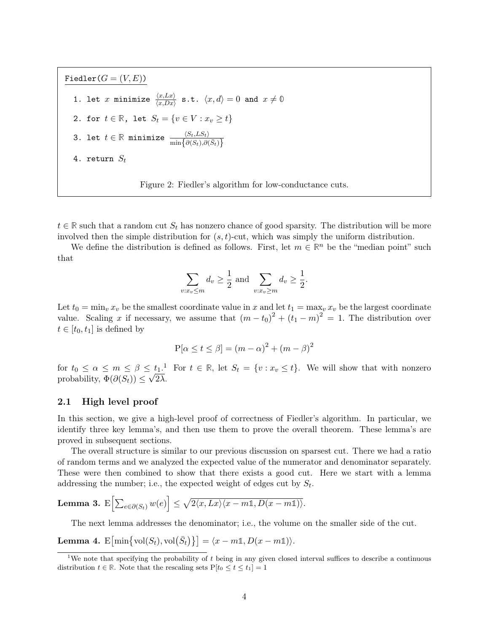Fiedler $(G = (V, E))$ 1. let  $x$  minimize  $\frac{\langle x, Lx\rangle}{\langle x, Dx\rangle}$  s.t.  $\langle x, d\rangle = 0$  and  $x \neq 0$ 2. for  $t \in \mathbb{R}$ , let  $S_t = \{v \in V : x_v \ge t\}$ 3. let  $t \in \mathbb{R}$  minimize  $\frac{\langle S_t,LS_t \rangle}{\min \bigl\{ \partial (S_t),\partial (\bar{S}_t) \bigr\}}$ 4. return  $S_t$ 

<span id="page-3-0"></span>Figure 2: Fiedler's algorithm for low-conductance cuts.

 $t \in \mathbb{R}$  such that a random cut  $S_t$  has nonzero chance of good sparsity. The distribution will be more involved then the simple distribution for  $(s, t)$ -cut, which was simply the uniform distribution.

We define the distribution is defined as follows. First, let  $m \in \mathbb{R}^n$  be the "median point" such that

$$
\sum_{v:x_v \le m} d_v \ge \frac{1}{2} \text{ and } \sum_{v:x_v \ge m} d_v \ge \frac{1}{2}.
$$

Let  $t_0 = \min_v x_v$  be the smallest coordinate value in x and let  $t_1 = \max_v x_v$  be the largest coordinate value. Scaling x if necessary, we assume that  $(m-t_0)^2 + (t_1 - m)^2 = 1$ . The distribution over  $t \in [t_0, t_1]$  is defined by

$$
P[\alpha \le t \le \beta] = (m - \alpha)^2 + (m - \beta)^2
$$

for  $t_0 \leq \alpha \leq m \leq \beta \leq t_1$  $t_0 \leq \alpha \leq m \leq \beta \leq t_1$ .<sup>1</sup> For  $t \in \mathbb{R}$ , let  $S_t = \{v : x_v \leq t\}$ . We will show that with nonzero probability,  $\Phi(\partial(S_t)) \leq \sqrt{2\lambda}$ .

#### 2.1 High level proof

In this section, we give a high-level proof of correctness of Fiedler's algorithm. In particular, we identify three key lemma's, and then use them to prove the overall theorem. These lemma's are proved in subsequent sections.

The overall structure is similar to our previous discussion on sparsest cut. There we had a ratio of random terms and we analyzed the expected value of the numerator and denominator separately. These were then combined to show that there exists a good cut. Here we start with a lemma addressing the number; i.e., the expected weight of edges cut by  $S_t$ .

**Lemma 3.** 
$$
E\left[\sum_{e \in \partial(S_t)} w(e)\right] \le \sqrt{2\langle x, Lx \rangle \langle x - m\mathbb{1}, D(x - m\mathbb{1})\rangle}.
$$

The next lemma addresses the denominator; i.e., the volume on the smaller side of the cut.

**Lemma 4.**  $E[\min\{\text{vol}(S_t), \text{vol}(\bar{S}_t)\}] = \langle x - m\mathbb{1}, D(x - m\mathbb{1})\rangle.$ 

<sup>&</sup>lt;sup>1</sup>We note that specifying the probability of t being in any given closed interval suffices to describe a continuous distribution  $t \in \mathbb{R}$ . Note that the rescaling sets  $P[t_0 \le t \le t_1] = 1$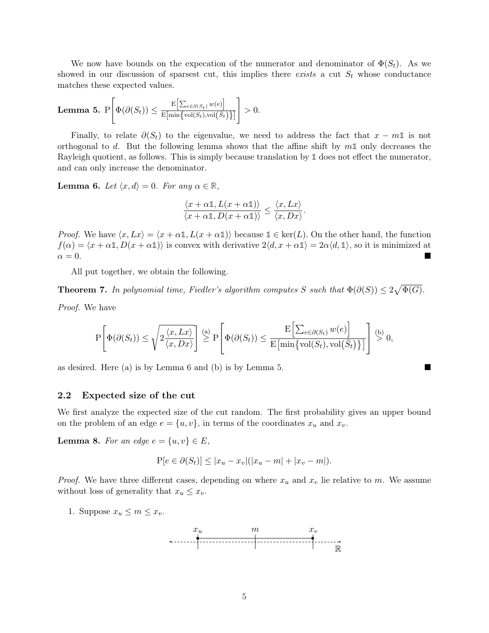We now have bounds on the expecation of the numerator and denominator of  $\Phi(S_t)$ . As we showed in our discussion of sparsest cut, this implies there exists a cut  $S_t$  whose conductance matches these expected values.

<span id="page-4-1"></span>**Lemma 5.** 
$$
P\left[\Phi(\partial(S_t)) \leq \frac{E\left[\sum_{e \in \partial(S_t)} w(e)\right]}{E[\min\{\text{vol}(S_t), \text{vol}(\bar{S}_t)\}]}\right] > 0.
$$

Finally, to relate  $\partial(S_t)$  to the eigenvalue, we need to address the fact that  $x - m1$  is not orthogonal to d. But the following lemma shows that the affine shift by m**1** only decreases the Rayleigh quotient, as follows. This is simply because translation by **1** does not effect the numerator, and can only increase the denominator.

<span id="page-4-0"></span>**Lemma 6.** Let  $\langle x, d \rangle = 0$ . For any  $\alpha \in \mathbb{R}$ ,

$$
\frac{\langle x + \alpha \mathbb{1}, L(x + \alpha \mathbb{1}) \rangle}{\langle x + \alpha \mathbb{1}, D(x + \alpha \mathbb{1}) \rangle} \le \frac{\langle x, Lx \rangle}{\langle x, Dx \rangle}.
$$

*Proof.* We have  $\langle x, Lx \rangle = \langle x + \alpha \mathbb{1}, L(x + \alpha \mathbb{1}) \rangle$  because  $\mathbb{1} \in \text{ker}(L)$ . On the other hand, the function  $f(\alpha) = \langle x + \alpha \mathbb{1}, D(x + \alpha \mathbb{1}) \rangle$  is convex with derivative  $2\langle d, x + \alpha \mathbb{1} \rangle = 2\alpha \langle d, \mathbb{1} \rangle$ , so it is minimized at  $\alpha = 0$ .

All put together, we obtain the following.

**Theorem 7.** In polynomial time, Fiedler's algorithm computes S such that  $\Phi(\partial(S)) \leq 2\sqrt{\Phi(G)}$ .

Proof. We have

$$
\mathrm{P}\!\left[\Phi(\partial(S_t)) \leq \sqrt{2\frac{\langle x, Lx \rangle}{\langle x, Dx \rangle}}\right] \stackrel{\text{(a)}}{\geq} \mathrm{P}\!\left[\Phi(\partial(S_t)) \leq \frac{\mathrm{E}\!\left[\sum_{e \in \partial(S_t)} w(e)\right]}{\mathrm{E}\!\left[\min\{\mathrm{vol}(S_t), \mathrm{vol}(\bar{S}_t)\}\right]}\right] \stackrel{\text{(b)}}{\geq} 0,
$$

as desired. Here (a) is by [Lemma 6](#page-4-0) and (b) is by [Lemma 5.](#page-4-1)

#### 2.2 Expected size of the cut

We first analyze the expected size of the cut random. The first probability gives an upper bound on the problem of an edge  $e = \{u, v\}$ , in terms of the coordinates  $x_u$  and  $x_v$ .

**Lemma 8.** For an edge  $e = \{u, v\} \in E$ ,

$$
P[e \in \partial(S_t)] \le |x_u - x_v|(|x_u - m| + |x_v - m|).
$$

*Proof.* We have three different cases, depending on where  $x_u$  and  $x_v$  lie relative to m. We assume without loss of generality that  $x_u \leq x_v$ .

1. Suppose  $x_u \leq m \leq x_v$ .

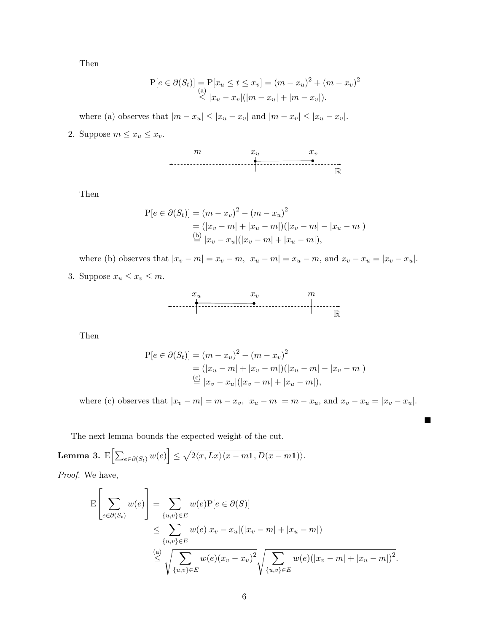Then

$$
P[e \in \partial(S_t)] = P[x_u \le t \le x_v] = (m - x_u)^2 + (m - x_v)^2
$$
  
\n
$$
\le |x_u - x_v|(|m - x_u| + |m - x_v|).
$$

where (a) observes that  $|m - x_u| \le |x_u - x_v|$  and  $|m - x_v| \le |x_u - x_v|$ .

2. Suppose  $m \leq x_u \leq x_v$ .



Then

$$
P[e \in \partial(S_t)] = (m - x_v)^2 - (m - x_u)^2
$$
  
=  $(|x_v - m| + |x_u - m|)(|x_v - m| - |x_u - m|)$   
 $\stackrel{\text{(b)}}{=} |x_v - x_u|(|x_v - m| + |x_u - m|),$ 

where (b) observes that  $|x_v - m| = x_v - m$ ,  $|x_u - m| = x_u - m$ , and  $x_v - x_u = |x_v - x_u|$ .

3. Suppose  $x_u \leq x_v \leq m$ .



Then

$$
P[e \in \partial(S_t)] = (m - x_u)^2 - (m - x_v)^2
$$
  
=  $(|x_u - m| + |x_v - m|)(|x_u - m| - |x_v - m|)$   
 $\stackrel{(c)}{=} |x_v - x_u|(|x_v - m| + |x_u - m|),$ 

where (c) observes that  $|x_v - m| = m - x_v$ ,  $|x_u - m| = m - x_u$ , and  $x_v - x_u = |x_v - x_u|$ .

 $\blacksquare$ 

The next lemma bounds the expected weight of the cut.

Lemma 3. E $\left[\sum_{e \in \partial(S_t)} w(e)\right] \leq \sqrt{2\langle x, Lx \rangle \langle x-m\mathbb{1}, D(x-m\mathbb{1})\rangle}.$ 

Proof. We have,

$$
\mathcal{E}\left[\sum_{e \in \partial(S_t)} w(e)\right] = \sum_{\{u,v\} \in E} w(e)\mathcal{P}[e \in \partial(S)]
$$
\n
$$
\leq \sum_{\{u,v\} \in E} w(e)|x_v - x_u|(|x_v - m| + |x_u - m|)
$$
\n
$$
\leq \sqrt{\sum_{\{u,v\} \in E} w(e)(x_v - x_u)^2} \sqrt{\sum_{\{u,v\} \in E} w(e)(|x_v - m| + |x_u - m|)^2}.
$$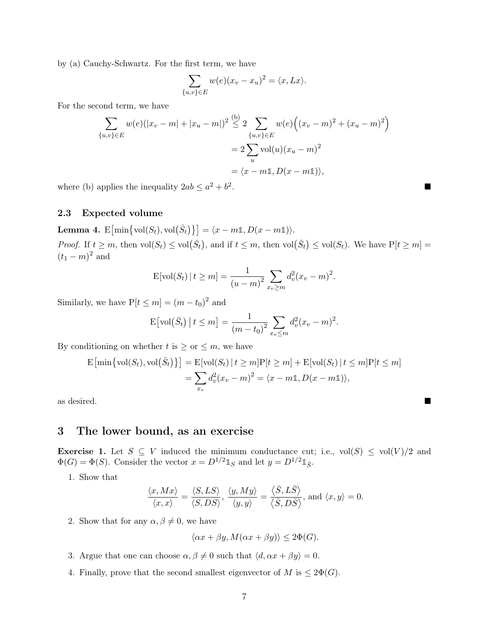by (a) Cauchy-Schwartz. For the first term, we have

$$
\sum_{\{u,v\}\in E} w(e)(x_v - x_u)^2 = \langle x, Lx \rangle.
$$

For the second term, we have

$$
\sum_{\{u,v\}\in E} w(e)(|x_v - m| + |x_u - m|)^2 \stackrel{\text{(b)}}{\leq} 2 \sum_{\{u,v\}\in E} w(e) ((x_v - m)^2 + (x_u - m)^2)
$$

$$
= 2 \sum_{u} \text{vol}(u)(x_u - m)^2
$$

$$
= \langle x - m\mathbb{1}, D(x - m\mathbb{1}) \rangle,
$$

where (b) applies the inequality  $2ab \leq a^2 + b^2$ 

#### 2.3 Expected volume

Lemma 4.  $E[\min\{\text{vol}(S_t), \text{vol}(\bar{S}_t)\}] = \langle x - m\mathbb{1}, D(x - m\mathbb{1})\rangle.$ 

*Proof.* If  $t \geq m$ , then  $vol(S_t) \leq vol(\bar{S}_t)$ , and if  $t \leq m$ , then  $vol(\bar{S}_t) \leq vol(S_t)$ . We have  $P[t \geq m] =$  $(t_1 - m)^2$  and

$$
\mathbb{E}[\text{vol}(S_t) \,|\, t \ge m] = \frac{1}{(u-m)^2} \sum_{x_v \ge m} d_v^2 (x_v - m)^2.
$$

Similarly, we have  $P[t \le m] = (m - t_0)^2$  and

$$
E[vol(\bar{S}_t) | t \le m] = \frac{1}{(m-t_0)^2} \sum_{x_v \le m} d_v^2 (x_v - m)^2.
$$

By conditioning on whether  $t$  is  $\geq$  or  $\leq$  m, we have

$$
E\left[\min\left\{\text{vol}(S_t),\text{vol}(\bar{S}_t)\right\}\right] = E\left[\text{vol}(S_t) \mid t \ge m\right]P[t \ge m] + E\left[\text{vol}(S_t) \mid t \le m\right]P[t \le m]
$$

$$
= \sum_{x_v} d_v^2(x_v - m)^2 = \langle x - m\mathbb{1}, D(x - m\mathbb{1})\rangle,
$$

as desired.

### 3 The lower bound, as an exercise

**Exercise 1.** Let  $S \subseteq V$  induced the minimum conductance cut; i.e.,  $vol(S) \le vol(V)/2$  and  $\Phi(G) = \Phi(S)$ . Consider the vector  $x = D^{1/2} \mathbb{1}_S$  and let  $y = D^{1/2} \mathbb{1}_{\bar{S}}$ .

1. Show that

$$
\frac{\langle x, Mx \rangle}{\langle x, x \rangle} = \frac{\langle S, LS \rangle}{\langle S, DS \rangle}, \frac{\langle y, My \rangle}{\langle y, y \rangle} = \frac{\langle \overline{S}, L\overline{S} \rangle}{\langle \overline{S}, D\overline{S} \rangle}, \text{ and } \langle x, y \rangle = 0.
$$

2. Show that for any  $\alpha, \beta \neq 0$ , we have

 $\langle \alpha x + \beta y, M(\alpha x + \beta y) \rangle \leq 2\Phi(G).$ 

- 3. Argue that one can choose  $\alpha, \beta \neq 0$  such that  $\langle d, \alpha x + \beta y \rangle = 0$ .
- 4. Finally, prove that the second smallest eigenvector of  $M$  is  $\leq 2\Phi(G)$ .